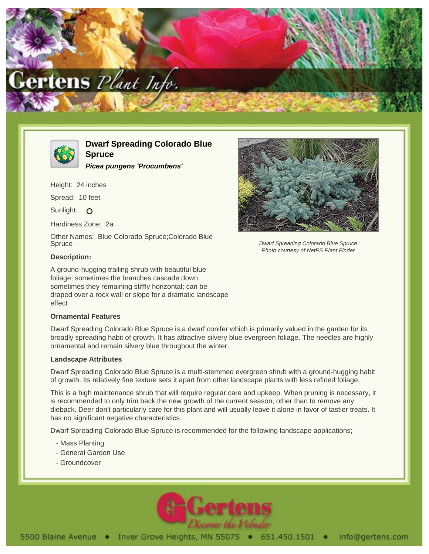



# **Dwarf Spreading Colorado Blue Spruce**

**Picea pungens 'Procumbens'**

Height: 24 inches

Spread: 10 feet

Sunlight: O

Hardiness Zone: 2a

Other Names: Blue Colorado Spruce;Colorado Blue **Spruce** 

## **Description:**

A ground-hugging trailing shrub with beautiful blue foliage; sometimes the branches cascade down, sometimes they remaining stiffly horizontal; can be draped over a rock wall or slope for a dramatic landscape effect

### **Ornamental Features**

Dwarf Spreading Colorado Blue Spruce is a dwarf conifer which is primarily valued in the garden for its broadly spreading habit of growth. It has attractive silvery blue evergreen foliage. The needles are highly ornamental and remain silvery blue throughout the winter.

### **Landscape Attributes**

Dwarf Spreading Colorado Blue Spruce is a multi-stemmed evergreen shrub with a ground-hugging habit of growth. Its relatively fine texture sets it apart from other landscape plants with less refined foliage.

This is a high maintenance shrub that will require regular care and upkeep. When pruning is necessary, it is recommended to only trim back the new growth of the current season, other than to remove any dieback. Deer don't particularly care for this plant and will usually leave it alone in favor of tastier treats. It has no significant negative characteristics.

Dwarf Spreading Colorado Blue Spruce is recommended for the following landscape applications;

- Mass Planting
- General Garden Use
- Groundcover





Dwarf Spreading Colorado Blue Spruce Photo courtesy of NetPS Plant Finder